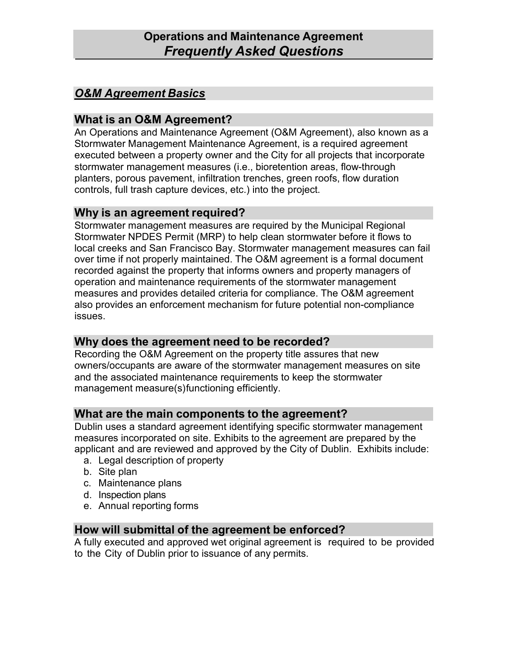# *O&M Agreement Basics*

# **What is an O&M Agreement?**

An Operations and Maintenance Agreement (O&M Agreement), also known as a Stormwater Management Maintenance Agreement, is a required agreement executed between a property owner and the City for all projects that incorporate stormwater management measures (i.e., bioretention areas, flow-through planters, porous pavement, infiltration trenches, green roofs, flow duration controls, full trash capture devices, etc.) into the project.

## **Why is an agreement required?**

Stormwater management measures are required by the Municipal Regional Stormwater NPDES Permit (MRP) to help clean stormwater before it flows to local creeks and San Francisco Bay. Stormwater management measures can fail over time if not properly maintained. The O&M agreement is a formal document recorded against the property that informs owners and property managers of operation and maintenance requirements of the stormwater management measures and provides detailed criteria for compliance. The O&M agreement also provides an enforcement mechanism for future potential non-compliance issues.

## **Why does the agreement need to be recorded?**

Recording the O&M Agreement on the property title assures that new owners/occupants are aware of the stormwater management measures on site and the associated maintenance requirements to keep the stormwater management measure(s) functioning efficiently.

## **What are the main components to the agreement?**

Dublin uses a standard agreement identifying specific stormwater management measures incorporated on site. Exhibits to the agreement are prepared by the applicant and are reviewed and approved by the City of Dublin. Exhibits include:

- a. Legal description of property
- b. Site plan
- c. Maintenance plans
- d. Inspection plans
- e. Annual reporting forms

## **How will submittal of the agreement be enforced?**

A fully executed and approved wet original agreement is required to be provided to the City of Dublin prior to issuance of any permits.